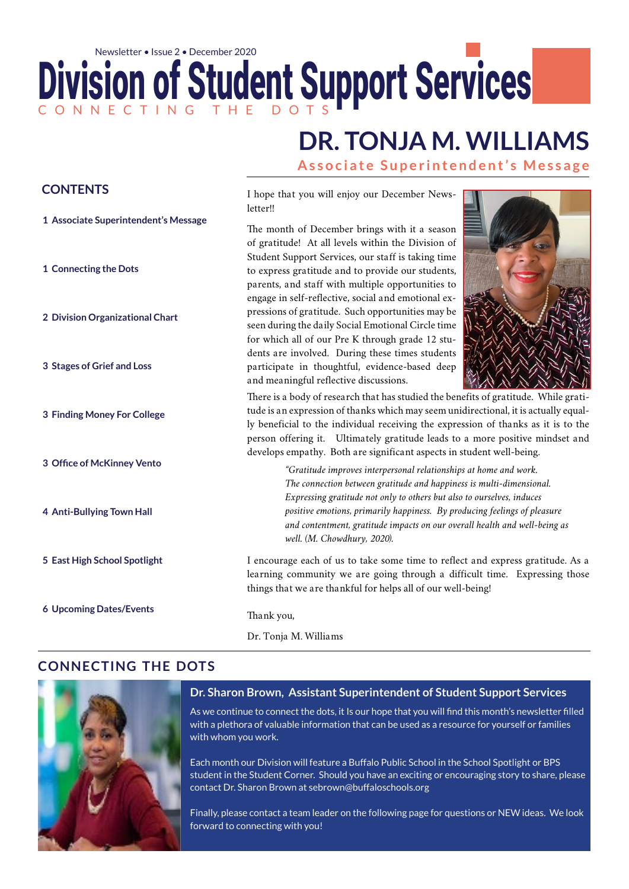## Division of Student Support Services C O N N E C T I N G T H E D O T S Newsletter • Issue 2 • December 2020

# **DR. TONJA M. WILLIAMS**

**Associate Superintendent's Message**

| <b>CONTENTS</b>                      | I hope that you will enjoy our December News-<br>letter!!                                                                                                                                                                                                                                                                                                                                                                    |
|--------------------------------------|------------------------------------------------------------------------------------------------------------------------------------------------------------------------------------------------------------------------------------------------------------------------------------------------------------------------------------------------------------------------------------------------------------------------------|
| 1 Associate Superintendent's Message | The month of December brings with it a season<br>of gratitude! At all levels within the Division of                                                                                                                                                                                                                                                                                                                          |
| 1 Connecting the Dots                | Student Support Services, our staff is taking time<br>to express gratitude and to provide our students,<br>parents, and staff with multiple opportunities to<br>engage in self-reflective, social and emotional ex-                                                                                                                                                                                                          |
| 2 Division Organizational Chart      | pressions of gratitude. Such opportunities may be<br>seen during the daily Social Emotional Circle time<br>for which all of our Pre K through grade 12 stu-                                                                                                                                                                                                                                                                  |
| 3 Stages of Grief and Loss           | dents are involved. During these times students<br>participate in thoughtful, evidence-based deep<br>and meaningful reflective discussions.                                                                                                                                                                                                                                                                                  |
| 3 Finding Money For College          | There is a body of research that has studied the benefits of gratitude. While grati-<br>tude is an expression of thanks which may seem unidirectional, it is actually equal-<br>ly beneficial to the individual receiving the expression of thanks as it is to the<br>person offering it. Ultimately gratitude leads to a more positive mindset and<br>develops empathy. Both are significant aspects in student well-being. |
| 3 Office of McKinney Vento           | "Gratitude improves interpersonal relationships at home and work.<br>The connection between gratitude and happiness is multi-dimensional.                                                                                                                                                                                                                                                                                    |
| 4 Anti-Bullying Town Hall            | Expressing gratitude not only to others but also to ourselves, induces<br>positive emotions, primarily happiness. By producing feelings of pleasure<br>and contentment, gratitude impacts on our overall health and well-being as<br>well. (M. Chowdhury, 2020).                                                                                                                                                             |
| 5 East High School Spotlight         | I encourage each of us to take some time to reflect and express gratitude. As a<br>learning community we are going through a difficult time. Expressing those<br>things that we are thankful for helps all of our well-being!                                                                                                                                                                                                |
| <b>6 Upcoming Dates/Events</b>       | Thank you,                                                                                                                                                                                                                                                                                                                                                                                                                   |
|                                      | Dr. Tonja M. Williams                                                                                                                                                                                                                                                                                                                                                                                                        |

#### **connecting the dots**



#### **Dr. Sharon Brown, Assistant Superintendent of Student Support Services**

As we continue to connect the dots, it Is our hope that you will find this month's newsletter filled with a plethora of valuable information that can be used as a resource for yourself or families with whom you work.

Each month our Division will feature a Buffalo Public School in the School Spotlight or BPS student in the Student Corner. Should you have an exciting or encouraging story to share, please contact Dr. Sharon Brown at sebrown@buffaloschools.org

Finally, please contact a team leader on the following page for questions or NEW ideas. We look forward to connecting with you!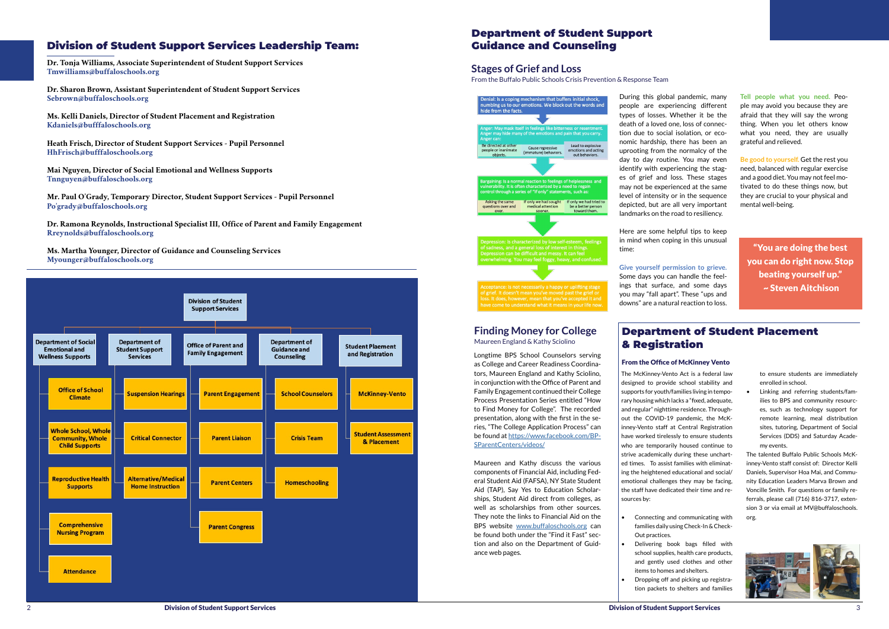#### Division of Student Support Services Leadership Team:

**Dr. Tonja Williams, Associate Superintendent of Student Support Services Tmwilliams@buffaloschools.org** 

**Dr. Sharon Brown, Assistant Superintendent of Student Support Services Sebrown@buffaloschools.org**

**Ms. Kelli Daniels, Director of Student Placement and Registration Kdaniels@bufffaloschools.org** 

**Heath Frisch, Director of Student Support Services - Pupil Personnel HhFrisch@bufffaloschools.org** 

**Mai Nguyen, Director of Social Emotional and Wellness Supports Tnnguyen@buffaloschools.org** 

**Mr. Paul O'Grady, Temporary Director, Student Support Services - Pupil Personnel Po'grady@buffaloschools.org**

**Dr. Ramona Reynolds, Instructional Specialist III, Office of Parent and Family Engagement Rreynolds@buffaloschools.org**

**Ms. Martha Younger, Director of Guidance and Counseling Services Myounger@buffaloschools.org**



During this global pandemic, many

people are experiencing different types of losses. Whether it be the death of a loved one, loss of connection due to social isolation, or economic hardship, there has been an uprooting from the normalcy of the day to day routine. You may even identify with experiencing the stages of grief and loss. These stages may not be experienced at the same level of intensity or in the sequence depicted, but are all very important landmarks on the road to resiliency.

• Dropping off and picking up registration packets to shelters and familie

Here are some helpful tips to keep in mind when coping in this unusual time:

#### **Give yourself permission to grieve.**

# Some days you can handle the feel-

ings that surface, and some days you may "fall apart". These "ups and downs" are a natural reaction to loss.

The McKinney-Vento Act is a federal law designed to provide school stability and supports for youth/families living in temporary housing which lacks a "fixed, adequate, and regular" nighttime residence. Throughout the COVID-19 pandemic, the McKinney-Vento staff at Central Registration have worked tirelessly to ensure students who are temporarily housed continue to strive academically during these uncharted times. To assist families with eliminating the heightened educational and social/ emotional challenges they may be facing, the staff have dedicated their time and resources by:

• Connecting and communicating with families daily using Check-In & Check-

• Delivering book bags filled with school supplies, health care products, and gently used clothes and other

- Out practices.
- items to homes and shelters.

Longtime BPS School Counselors serving as College and Career Readiness Coordinators, Maureen England and Kathy Sciolino, in conjunction with the Office of Parent and Family Engagement continued their College Process Presentation Series entitled "How to Find Money for College". The recorded presentation, along with the first in the series, "The College Application Process" can be found at [https://www.facebook.com/BP](https://www.facebook.com/BPSParentCenters/videos/?ref=page_internal )-[SParentCenters/videos/](https://www.facebook.com/BPSParentCenters/videos/?ref=page_internal )

Maureen and Kathy discuss the various components of Financial Aid, including Federal Student Aid (FAFSA), NY State Student Aid (TAP), Say Yes to Education Scholarships, Student Aid direct from colleges, as well as scholarships from other sources. They note the links to Financial Aid on the BPS website [www.buffaloschools.org](http://www.buffaloschools.org) can be found both under the "Find it Fast" section and also on the Department of Guidance web pages.

**Tell people what you need.** People may avoid you because they are afraid that they will say the wrong thing. When you let others know what you need, they are usually grateful and relieved.

**Be good to yourself.** Get the rest you need, balanced with regular exercise and a good diet. You may not feel motivated to do these things now, but they are crucial to your physical and mental well-being.

> to ensure students are immediately enrolled in school.

• Linking and referring students/families to BPS and community resources, such as technology support for remote learning, meal distribution sites, tutoring, Department of Social Services (DDS) and Saturday Academy events.

The talented Buffalo Public Schools McKinney-Vento staff consist of: Director Kelli Daniels, Supervisor Hoa Mai, and Community Education Leaders Marva Brown and Voncille Smith. For questions or family referrals, please call (716) 816-3717, extension 3 or via email at MV@buffaloschools. org.



"You are doing the best you can do right now. Stop beating yourself up." ~ Steven Aitchison

#### Department of Student Support Guidance and Counseling

#### **Stages of Grief and Loss**

From the Buffalo Public Schools Crisis Prevention & Response Team



n can be difficult and messy. It can fee ming. You may feel foggy, heavy, and confused

f grief. It doesn't mean you've moved past the grief o It does, however, mean that you've accept e come to understand what it means in your life nov

#### **Finding Money for College** Maureen England & Kathy Sciolino

## Department of Student Placement & Registration

### From the Office of McKinney Vento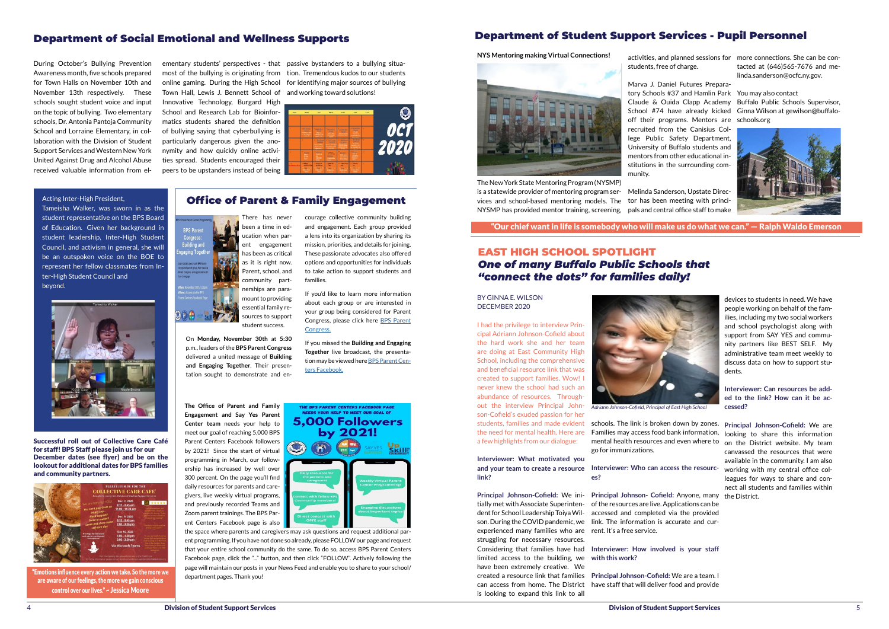## Department of Student Support Services - Pupil Personnel

#### EAST HIGH SCHOOL SPOTLIGHT *One of many Buffalo Public Schools that "connect the dots" for families daily!*

#### Department of Social Emotional and Wellness Supports

**BPS Parent Congress:**<br>Building and gaging Tog<mark>e</mark>

On<sub>e</sub>

During October's Bullying Prevention Awareness month, five schools prepared for Town Halls on November 10th and November 13th respectively. These schools sought student voice and input on the topic of bullying. Two elementary schools, Dr. Antonia Pantoja Community School and Lorraine Elementary, in collaboration with the Division of Student Support Services and Western New York United Against Drug and Alcohol Abuse received valuable information from el-

#### Acting Inter-High President,

Tameisha Walker, was sworn in as the student representative on the BPS Board of Education. Given her background in student leadership, Inter-High Student Council, and activism in general, she will be an outspoken voice on the BOE to represent her fellow classmates from Inter-High Student Council and beyond.



ementary students' perspectives - that passive bystanders to a bullying situa-

most of the bullying is originating from tion. Tremendous kudos to our students online gaming. During the High School for identifying major sources of bullying Town Hall, Lewis J. Bennett School of and working toward solutions! Innovative Technology, Burgard High School and Research Lab for Bioinformatics students shared the definition of bullying saying that cyberbullying is particularly dangerous given the anonymity and how quickly online activities spread. Students encouraged their peers to be upstanders instead of being



**The Office of Parent and Family Engagement and Say Yes Parent Center team** needs your help to meet our goal of reaching 5,000 BPS Parent Centers Facebook followers by 2021! Since the start of virtual programming in March, our followership has increased by well over 300 percent. On the page you'll find daily resources for parents and caregivers, live weekly virtual programs, and previously recorded Teams and Zoom parent trainings. The BPS Parent Centers Facebook page is also

NEEDS YOUR HELP TO MEET OUR GOAL OF **5.000 Followers** by 2021!

Successful roll out of Collective Care Café for staff! BPS Staff please join us for our December dates (see flyer) and be on the lookout for additional dates for BPS families and community partners.



"Emotions influence every action we take. So the more we are aware of our feelings, the more we gain conscious control over our lives." ~ Jessica Moore

## Office of Parent & Family Engagement

There has never been a time in education when parent engagement has been as critical as it is right now. Parent, school, and community partnerships are paramount to providing essential family resources to support student success.

On **Monday, November 30th** at **5:30** p.m., leaders of the **BPS Parent Congress**  delivered a united message of **Building and Engaging Together**. Their presentation sought to demonstrate and enNYS Mentoring making Virtual Connections! <sub>activities, and planned sessions for more connections. She can be con-</sub> tacted at (646)565-7676 and melinda.sanderson@ocfc.ny.gov.

#### courage collective community building and engagement. Each group provided a lens into its organization by sharing its mission, priorities, and details for joining. These passionate advocates also offered options and opportunities for individuals to take action to support students and families.

If you'd like to learn more information about each group or are interested in your group being considered for Parent Congress, please click here [BPS Parent](https://www.buffaloschools.org/Page/88390) [Congress.](https://www.buffaloschools.org/Page/88390)

If you missed the **Building and Engaging Together** live broadcast, the presentation may be viewed here [BPS Parent Cen](https://www.facebook.com/BPSParentCenters)[ters Facebook.](https://www.facebook.com/BPSParentCenters)

**THE BPS PARENT CENTERS FACEBOOK PAGE** 

the space where parents and caregivers may ask questions and request additional parent programming. If you have not done so already, please FOLLOW our page and request that your entire school community do the same. To do so, access BPS Parent Centers Facebook page, click the "..." button, and then click "FOLLOW". Actively following the page will maintain our posts in your News Feed and enable you to share to your school/ department pages. Thank you!

The New York State Mentoring Program (NYSMP) is a statewide provider of mentoring program ser-Melinda Sanderson, Upstate Direcvices and school-based mentoring models. The tor has been meeting with princi-NYSMP has provided mentor training, screening,

students, free of charge.

Marva J. Daniel Futures Preparaoff their programs. Mentors are schools.org recruited from the Canisius College Public Safety Department, University of Buffalo students and mentors from other educational institutions in the surrounding com-

munity.

tory Schools #37 and Hamlin Park You may also contact Claude & Ouida Clapp Academy Buffalo Public Schools Supervisor, School #74 have already kicked Ginna Wilson at gewilson@buffalo-





pals and central office staff to make

"Our chief want in life is somebody who will make us do what we can." — Ralph Waldo Emerson

BY GINNA E. WILSON DECEMBER 2020

I had the privilege to interview Principal Adriann Johnson-Cofield about the hard work she and her team are doing at East Community High School, including the comprehensive and beneficial resource link that was created to support families. Wow! I never knew the school had such an abundance of resources. Throughout the interview Principal Johnson-Cofield's exuded passion for her students, families and made evident the need for mental health. Here are

a few highlights from our dialogue:

**Interviewer: What motivated you**  and your team to create a resource Interviewer: Who can access the resourc- working with my central office col**link?**

**Principal Johnson-Cofield:** We ini-

tially met with Associate Superintendent for School Leadership Toiya Wilson. During the COVID pandemic, we link. The information is accurate and curexperienced many families who are rent. It's a free service. struggling for necessary resources. Considering that families have had **Interviewer: How involved is your staff**  limited access to the building, we **with this work?**  have been extremely creative. We created a resource link that families **Principal Johnson-Cofield:** We are a team. I can access from home. The District have staff that will deliver food and provide is looking to expand this link to all

schools. The link is broken down by zones. **Principal Johnson-Cofield:** We are Families may access food bank information, looking to share this information mental health resources and even where to on the District website. My team go for immunizations.

**es?**

**Principal Johnson- Cofield:** Anyone, many the District. of the resources are live. Applications can be accessed and completed via the provided

devices to students in need. We have people working on behalf of the families, including my two social workers and school psychologist along with support from SAY YES and community partners like BEST SELF. My administrative team meet weekly to discuss data on how to support students.

**Interviewer: Can resources be added to the link? How can it be accessed?**

canvassed the resources that were available in the community. I am also leagues for ways to share and connect all students and families within